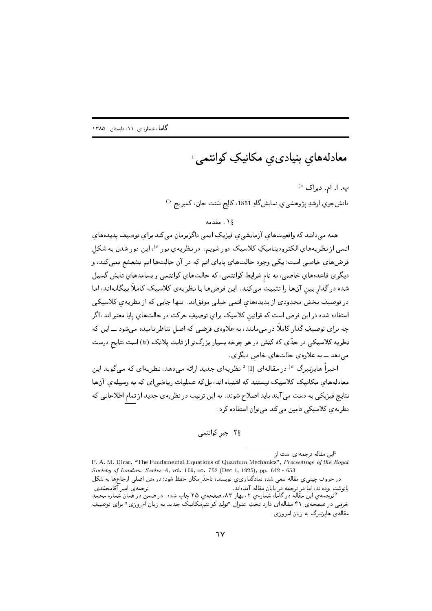معادلههاي بنيادى*ى* مكانيكِ كوانتمى<sup>،</sup>

ب. ا. ام. دیراک <sup>ه)</sup> دانشجوي ارشدِ پژوهشي، عنمايشگاهِ 1851، کالِج سَنت جان، کمبريج <sup>ه)</sup>

١٤. مقدمه

همه می دانند که واقعیتهای آزمایشی ی فیزیکِ اتمی ناگزیرمان می کند برای توصیفِ پدیدههای اتمبی از نظریههای الکترودینامیکِ کلاسیک دور شویم. در نظریهی بور <sup>6</sup>)، این دور شدن به شکل فرضهاي خاصي است؛ يكي وجودِ حالتهاي پاياي اتم كه در آن حالتها اتم تشعشع نميكند، و دیگری قاعدههای خاصی، به نام شرایطِ کوانتمی، که حالتهای کوانتمی و بسامدهای تابش گسیل شده در گذار بین آنها را تثبیت میکند. این فرضها با نظریهی کلاسیک کاملاً بیگانهاند، اما در توصیفِ بخش محدودی از پدیدههای اتمی خیلی موفقاند. تنها جایی که از نظریهی کلاسیکی استفاده شده در این فرض است که قوانین کلاسیک برای توصیفِ حرکت در حالتهای پایا معتبر اند، اگر چه برای توصیفِ گذار کاملاً در می مانند، به علاوهی فرضی که اصل تناظر نامیده می شود ـــ این که نظریه کلاسیکی در حدّی که کنش در هر چرخه بسیار بزرگتر از ثابتِ پلانک (h) است نتایج درست میدهد ـــ به علاوهی حالتهای خاص دیگری.

اخیراً هایزنبرگ <sup>d</sup>) در مقالهای [1] <sup>2</sup> نظریهای جدید ارائه میدهد، نظریهای که میگوید این معادلههای مکانیکِ کلاسیک نیستند که اشتباه اند، بل که عملیاتِ ریاضی ای که به وسیلهی آنها نتایج فیزیکی به دست می آیند باید اصلاح شوند. به این ترتیب در نظریه ی جدید از تمام اطلاعاتی که نظریه ی کلاسیکی تامین می کند می توان استفاده کرد.

۲<sub>§</sub> جبر کوانتمی

<sup>1</sup>این مقاله ترجمهای است از

P. A. M. Dirac, "The Fundamental Equations of Quantum Mechanics", Proceedings of the Royal Society of London. Series A, vol. 109, no. 752 (Dec 1, 1925), pp. 642 - 653 در حروف چینبی ی مقاله سعی شده نمادگذاری ی نویسنده تاحدّ امکان حفظ شود؛ در متن اصلی ارجاعها به شکل پانوشت بودهاند، اما در ترجمه در پایان مقاله آمدهاند. ترجمهي امير آقامحمّدي <sup>2</sup>ترجّمه ي اين مقّالَه در گامّاً، شَمّارهي ٢، بهار ٨٣، صفحهي ٢٥ چاپ شده. در ضمنّ در همانٌ شماره محمد خرمی در صفحهی ۴۱ مقالهای دارد تحتِ عنوان "تولدِ کوانتممکانیک جدید به زبان امروزی" برای توصیف مقالهی هایزنبرگ به زبان امروزی.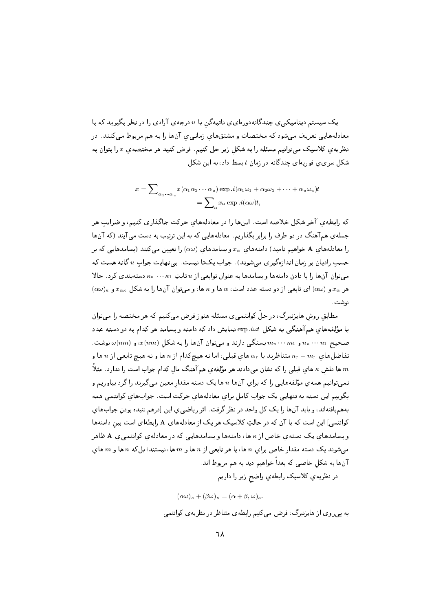یک سیستم دینامیکی ی چندگانهدورهای ی ناتبهگن با u درجه ی آزادی را در نظر بگیرید که با معادلههایی تعریف میشود که مختصات و مشتقهای زمانیی یآنها را به هم مربوط میکنند. در .<br>نظریه یِ کلاسیک میتوانیم مسئله را به شکل زیر حل کنیم. فرض کنید هر مختصهی  $x$  را بتوان به شکل سری ی فوریهای چندگانه در زمان t بسط داد، به این شکل

$$
x = \sum_{\alpha_1 \cdots \alpha_u} x(\alpha_1 \alpha_2 \cdots \alpha_u) \exp .i(\alpha_1 \omega_1 + \alpha_2 \omega_2 + \cdots + \alpha_u \omega_u)t
$$
  
= 
$$
\sum_{\alpha} x_{\alpha} \exp .i(\alpha \omega)t,
$$

كه رابطهي آخر شكل خلاصه است. اينها را در معادلههاي حركت جاگذاري كنيم، و ضرايبٍ هر جملهی هم آهنگ در دو طرف را برابر بگذاریم. معادلههایی که به این ترتیب به دست می آیند (که آنها را معادلههای A خواهیم نامید) دامنههای  $x_{\alpha}$  و بسامدهای  $(\alpha\omega)$  را تعیین میکنند (بسامدهایی که بر حسب رادیان بر زمان اندازهگیری میشوند). جواب یکتا نیست. بینهایت جواب u گانه هست که میتوان آنها را با دادن دامنهها و بسامدها به عنوان توابعی از u ثابتِ  $\kappa_1 \cdots \kappa_n$  دستهبندی کرد. حالا  $\alpha$ هر  $x_{\alpha}$  و  $(\alpha\omega)$ ) ای تابعی از دو دسته عدد است، a ها و  $\alpha$  ها، و می توان آنها را به شکل  $x_{\alpha\kappa}$  و  $x_{\alpha}$ نوشت .

مطابق روش هایبزنبرگ، در حلّ ِکوانتمبی، مسئله هنوز فرض مبیکنیم که هر مختصه را مبیتوان با مؤلفههای همآهنگی به شکل exp.*iwt* نمایش داد که دامنه و بسامدِ هر کدام به دو دسته عددِ . صحیح  $n_1 \cdot \cdot \cdot n_1$  و  $m_u \cdot \cdot \cdot m_u$  بستگی دارند و میتوان آنها را به شکل  $x(nm)$  ، و  $n_u \cdot \cdot \cdot n_1$  نوشت تفاضلهای  $m_r - m_r$  متناظرند با  $\alpha_r$  های قبلی، اما نه هیچکدام از n ها و نه هیچ تابعی از n ها و ها نقش به های قبلی را که نشان میدادند هر مؤلفهی هم آهنگ مال کدام جواب است را ندارد. مثلاً  $m$ نمبیتوانیم همهی مؤلفههایی را که برای آنها n ها یک دسته مقدار معین مبیگیرند را گرد بیاوریم و بگوییم این دسته به تنهایی یک جواب کامل برای معادلههای حرکت است. جوابهای کوانتمی همه بههمبافتهاند، و باید آنها را یک کل واحد در نظر گرفت. اثر ریاضی ی این [درهم تنیده بودن جوابهای کوانتمی] این است که با آن که در حالتِ کلاسیک هر یک از معادلههای A رابطهای است بین دامنهها و بسامدهای یک دسته ی خاص از k ها، دامنهها و بسامدهایی که در معادلهی کوانتمیی A ظاهر میشوند یک دسته مقدار خاص براي n ها، یا هر تابعی از n ها و m ها، نیستند؛ بلکه n ها و m های آنها به شکل خاصی که بعداً خواهیم دید به هم مربوط اند. در نظريهي كلاسيك رابطهي واضح زير را داريم

 $(\alpha\omega)_{\kappa} + (\beta\omega)_{\kappa} = (\alpha + \beta, \omega)_{\kappa}.$ 

به پیروی از هایزنبرگ، فرض میکنیم رابطهی متناظر در نظریهی کوانتمی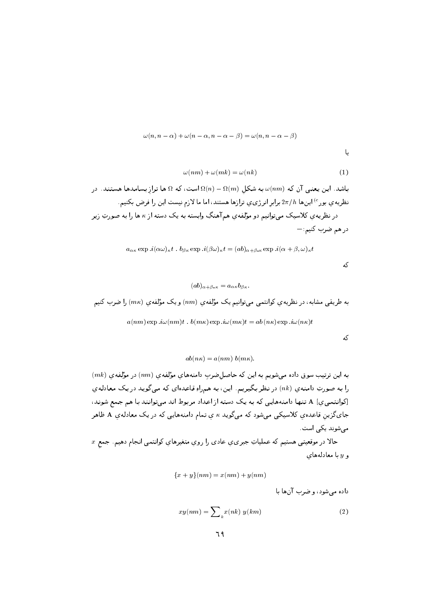$$
\omega(n, n - \alpha) + \omega(n - \alpha, n - \alpha - \beta) = \omega(n, n - \alpha - \beta)
$$

یا

$$
\omega(nm) + \omega(mk) = \omega(nk) \tag{1}
$$

باشد. این یعنی آن که  $\omega(nm)$  به شکل  $\Omega(n)-\Omega(m)$  است، که  $\Omega$  ها تراز بسامدها هستند. در نظریه ی بور<sup>ه)</sup> اینها 2 $\pi/h$  برابر انرژی یِ ترازها هستند، اما ما لازم نیست این را فرض بکنیم. در نظریه ی کلاسیک می توانیم دو مؤلفه ی هم آهنگِ وابسته به یک دسته از بم ها را به صورتِ زیر در هم ضرب کنیم:—

$$
a_{\alpha\kappa} \exp .i(\alpha\omega)_{\kappa}t . b_{\beta\kappa} \exp .i(\beta\omega)_{\kappa}t = (ab)_{\alpha+\beta,\kappa} \exp .i(\alpha+\beta,\omega)_{\kappa}t
$$

$$
(ab)_{\alpha+\beta\cdot\kappa}=a_{\alpha\kappa}b_{\beta\kappa}
$$

به طریقی مشابه، در نظریهی کوانتمی میتوانیم یک مؤلفهی  $\left( nm\right)$  و یک مؤلفهی  $\left( m\kappa\right)$  را ضرب کنیم

$$
a(nm) \exp \cdot i\omega(nm)t \cdot b(m\kappa) \exp \cdot i\omega(m\kappa)t = ab(n\kappa) \exp \cdot i\omega(n\kappa)t
$$

که

که

$$
ab(n\kappa) = a(nm) b(m\kappa).
$$

 $(mk)$  به این ترتیب سوق داده میشویم به این که حاصل $\omega$ سربِ دامنههای مؤلفهی  $(mm)$  در مؤلفهی را به صورتِ دامنهي (nk) در نظر بگيريم. اين، به همراهِ قاعدهاي كه مي گويد در يك معادلهي [کوانتمیی] A تنها دامنههایی که به یک دسته از اعداد مربوط اند میتوانند با هم جمع شوند، جایگزین قاعدهیِ کلاسیکی میشود که میگوید  $\kappa$  یِ تمام دامنههایی که در یک معادلهیِ A ظاهر مے شوند یکے است.

 $\,x\,$ حالا در موقعيتی هستيم که عملياتِ جبری ي عادی را روي متغيرهاي کوانتمی انجام دهيم. جمع و y با معادلههای

$$
\{x+y\}(nm) = x(nm) + y(nm)
$$

داده می شود، و ضرب آنها با

$$
xy(nm) = \sum_{k} x(nk) \ y(km) \tag{2}
$$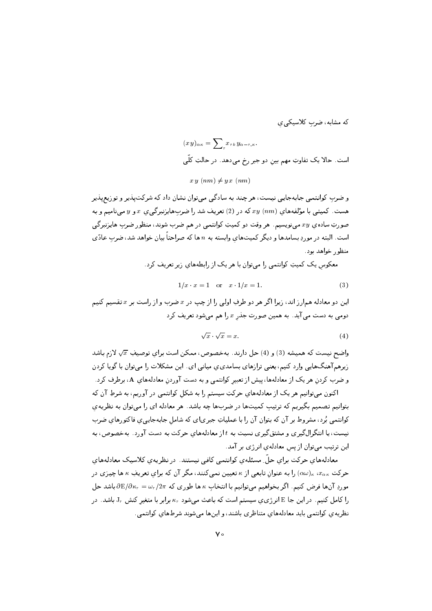که مشابه، ضرب کلاسیکی ی

$$
(x y)_{\alpha \kappa} = \sum_{r} x_{rk} y_{\alpha-r,\kappa}.
$$
است. حالا یک تفاوت مهم بین دو جبر رخ میدهد. در حالټ کلّی  

$$
xy (nm) \neq y x (nm)
$$

و ضرب کوانتمی جایهجایی نیست، هر چند به سادگی می توان نشان داد که شرکت $\mathfrak{t}$ یو و توزیع بلیر هست. کمیتبی با مؤلفههای  $xy \;(nm)$  که در (2)تعریف شد را ضربهایزنبرگیی ی  $x$  و  $y$  میینامیم و به صورتِ ساده ی  $xy$  می نویسیم . هر وقت دو کمیتِ کوانتمی در هم ضرب شوند، منظور ضرب هایزنبرگی است. البته در موردِ بسامدها و دیگر کمیتهای وابسته به n ها که صراحتاً بیان خواهد شد، ضرب عادّی منظور خواهد بود.

معکوس یک کمیتِ کوانتمی را می;توان با هر یک از رابطههای زیر تعریف کرد.

$$
1/x \cdot x = 1 \quad \text{or} \quad x \cdot 1/x = 1. \tag{3}
$$

این دو معادله همارز اند، زیرا اگر هر دو طرفِ اولی را از چپ در  $x$  ضرب و از راست بر  $x$  تقسیم کنیم دومی به دست می آید. به همین صورت جذر  $x$  را هم می شود تعریف کرد

$$
\sqrt{x} \cdot \sqrt{x} = x. \tag{4}
$$

واضح نیست که همیشه  $(3)$  و  $(4)$  حل دارند. بهخصوص، ممکن است برای توصیفِ  $\sqrt{x}$  لازم باشد زیرهم آهنگهایی وارد کنیم، یعنی ترازهای بسامدی، میانی ای . این مشکلات را میتوان با گویا کردن و ضرب کردن هر یک از معادلهها، پیش از تعبیر کوانتمی و به دست آوردن معادلههای A، برطرف کرد .

اکنون میتوانیم هر یک از معادلههای حرکتِ سیستم را به شکل کوانتمی در آوریم، به شرطِ آن که بتوانیم تصمیم بگیریم که ترتیب کمیتها در ضربها چه باشد. هر معادله ای را میتوان به نظریهی کوانتمی بُرد، مشروط بر آن که بتوان آن را با عملیاتِ جبریای که شامل جابهجاییی فاکتورهای ضرب نیست، یا انتگرالگیری و مشتقگیری نسبت به t از معادلههای حرکت به دست آورد. بهخصوص، به این ترتیب می توان از پس معادلهی انرژی بر آمد.

معادلههای حرکت برای حلّ ِ مسئلهی کوانتمی کافی نیستند. در نظریهی کلاسیک معادلههای حرکت »،&»، «(۵۰۰) را به عنوان تابعی از ۴ تعیین نمیکنند، مگر آن که برای تعریفِ ۴ ها چیزی در  $\partial \mathbb{E}/\partial \kappa_r = \omega_r/2\pi$  موردِ آنها فرض کنیم. اگر بخواهیم می توانیم با انتخاب  $\kappa$  ها طوری که  $\omega_r = \partial \mathbb{E}/\partial \kappa_r$  باشد حل را کامل کنیم. در این جا E انرژی ی سیستم است که باعث میشود  $\kappa_r$  برابر با متغیر کنش  $\texttt{J}_r$  باشد. در نظریه ی کوانتمی باید معادلههای متناظری باشند، و اینها میشوند شرطهای کوانتمی .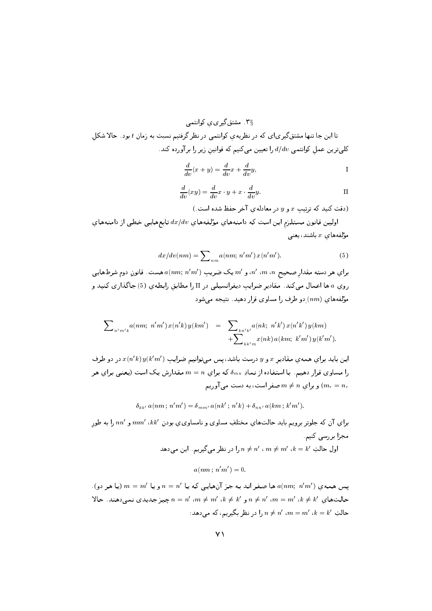.<br>۳§ . مشتقگیری، کوانتمی

تا این جا تنها مشتقگیریای که در نظریهی کوانتمی در نظر گرفتیم نسبت به زمان t بود. حالا شکل کلی ترین عمل کوانتمی  $d/dv$  را تعیین میکنیم که قوانین زیر را برآورده کند.

$$
\frac{d}{dv}(x+y) = \frac{d}{dv}x + \frac{d}{dv}y,
$$

$$
\frac{d}{dv}(xy) = \frac{d}{dv}x \cdot y + x \cdot \frac{d}{dv}y.
$$

(دقت کنید که ترتیب x و y در معادله ی آخر حفظ شده است.)

اولین قانون مستلزم این است که دامنههای مؤلفههای  $dx/dv$  تابعهایی خطی از دامنههای مۇلفەھاي  $x$  باشند، يعنى

$$
dx/dv(nm) = \sum_{nm} a(nm; n'm') x(n'm').
$$
 (5)

براي هر دسته مقدار صحيح m ، m، n، و  $m'$  يک ضريبِ  $a(nm;\,n'm')$  هست. قانونِ دوم شرطهايى روی a ها اعمال میکند. مقادیر ضرایب دیفرانسیلی در II را مطابق رابطهی (5) جاگذاری کنید و مؤلفههای  $(nm)$  دو طرف را مساوی قرار دهید. نتیجه می شود

$$
\sum_{n'm'k} a(nm; n'm') x(n'k) y(km') = \sum_{k n'k'} a(nk; n'k') x(n'k') y(km) + \sum_{k k' m} x(nk) a(km; k'm') y(k'm').
$$

این باید برای همهی مقادیر x و y درست باشد، پس میتوانیم ضرایب  $x(n'k)$   $x(n'k)$  در دو طرف را مساوی قرار دهیم. با استفاده از نمادِ  $\delta_{mn}$  که برای  $n = m$  مقدارش یک است (یعنی برای هر و برای  $m \neq m$  صفر است، به دست می آوریم  $(m_r = n_r)$ 

 $\delta_{kk'} a(nm; n'm') = \delta_{mm'} a(nk'; n'k) + \delta_{nn'} a(km; k'm').$ 

برای آن که جلوتر برویم باید حالتهای مختلفِ مساوی و نامساوی ی بودن  $\mathit{nm}'$  ،  $\mathit{km}'$  را به طور مجزا بررسی کنیم

اول حالتِ  $k'$  ،  $m \neq m'$  ،  $m \neq n'$  را در نظر میگیریم. این میدهد

 $a(nm : n'm') = 0.$ 

یس همه ی  $a(nm;\,\,n'm')$  ها صفر اند به جز آنهایی که یا  $n=n'$  و یا  $m=m'$  (یا هر دو). حالت $\mathbf{a} = m'$ ، م $n \neq n'$  و  $n \neq m'$  ،  $m \neq m'$  ،  $k \neq k'$  ،  $n \neq n'$  ، حير جديدي نمى دهند. حالا - حالتِ  $k = m'$  ،  $n \neq n'$  ،  $n \neq n'$  ، حالتِ بگیریم، که می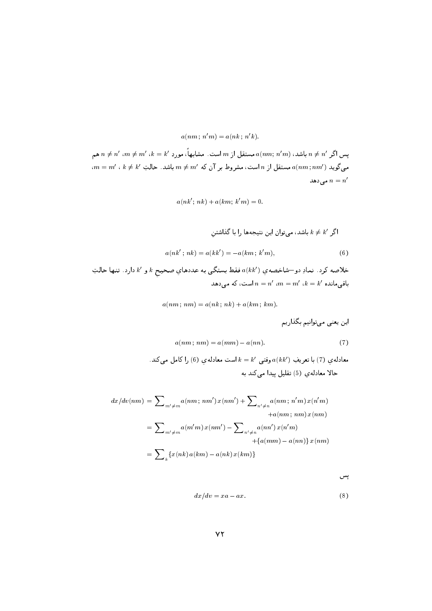$$
a(nm; n'm) = a(nk; n'k).
$$

پس اگر  $n \neq n'$  باشد،  $a(nm;\,n'm)$  مستقل از  $m$  است . مشابههاً، موردِ  $k' = k'$  ،  $n \neq n'$  هم  $\mathfrak{m} = m'$  ،  $k \neq k'$  مستقل از  $n$  است، مشروط بر آن که  $m \neq m'$  باشد. حالتِ  $a(nm; nm')$ مى دهد  $n = n'$ 

$$
a(nk';\, nk)+a(km;\, k'm)=0.
$$

اگر †
$$
k \neq k
$$
 باشد، میتوان این نتیجدها را با گذاشتنِ

$$
a(nk';\, nk) = a(kk') = -a(km\,;\,k'm),\tag{6}
$$

خلاصه كرد. نمادِ دو–شاخصهي  $a(kk')$  فقط بستگي به عددهاي صحيح  $k$  و  $k$  دارد. تنها حالتِ باقی مانده  $k = k'$  ،  $m = m'$  ،  $k = k'$  است، که می دهد

$$
a(nm; nm) = a(nk; nk) + a(km; km).
$$

اين يعني مي توانيم بگذاريم

$$
a(nm; nm) = a(mm) - a(nn). \tag{7}
$$

معادله ي (7) با تعريفِ  $a(kk')$  وقتى  $k = k'$  است معادله ي (6) را كامل مىكند. حالا معادلهى (5) تقليل پيدا مى كند به

$$
dx/dv(nm) = \sum_{m' \neq m} a(nm; nm') x(nm') + \sum_{n' \neq n} a(nm; n'm) x(n'm) + a(nm; nm) x(nm)
$$
  

$$
= \sum_{m' \neq m} a(m'm) x(nm') - \sum_{n' \neq n} a(nn') x(n'm) + \{a(nm) - a(nn)\} x(nm)
$$
  

$$
= \sum_{k} \{x(nk) a(km) - a(nk) x(km)\}
$$

پس

$$
dx/dv = xa - ax.\tag{8}
$$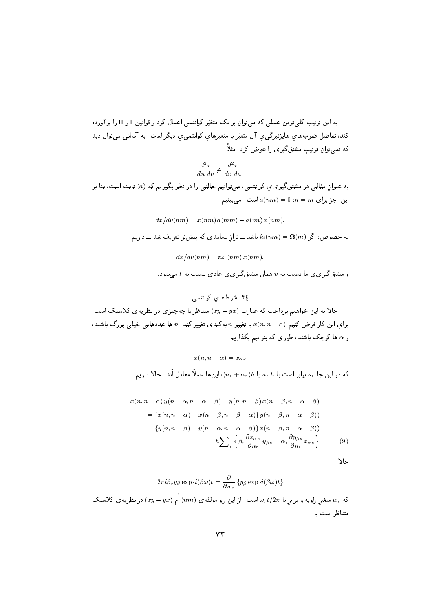به این ترتیب کلی ترین عملی که می توان بر یک متغیّر کوانتمی اعمال کرد و قوانین I و II را بر آورده کند، تفاضل ضربهای هایزنبرگیری آن متغیّر با متغیرهای کوانتمیری دیگر است. به آسانی میتوان دید که نمی توان ترتیب مشتق گیری را عوض کرد، مثلاً

$$
\frac{d^2x}{du\;dv} \neq \frac{d^2x}{dv\;du}.
$$

به عنوان مثالی در مشتق گیر ی ی کوانتمی ، می توانیم حالتی را در نظر بگیریم که (a) ثابت است، بنا بر این، جز برای  $a(nm) = 0$ ، است. می بینیم

$$
dx/dv(nm) = x(nm) a(mm) - a(nn) x(nm).
$$
  
به خصوص، اگر 
$$
ia(nm) = \Omega(m) \sum_{i=1}^{n} a(nm) = \Omega(m) \sum_{i=1}^{n} dx/dv(nm) = i\omega(nm) x(nm),
$$

و مشتق گیر ی ی ما نسبت به v همان مشتق گیر ی ی عادی نسبت به t می شود.

حالا به این خواهیم پرداخت که عبارتِ  $(y - yx)$  متناظر با چهچیزی در نظریهی کلاسیک است. برای این کار فرض کنیم  $x$  ( $n,n$  با تغییر  $n$  بهکندی تغییر کند،  $n$  ها عددهایی خیلی بزرگ باشند، و a ها کوچک باشند، طوری که بتوانیم بگذاریم

 $x(n, n - \alpha) = x_{\alpha\kappa}$ 

که در این جا  $\kappa_r$  برابر است با  $n_r \, h$  یا  $n_r \, h$ ، این $(n_r+\alpha_r)$  معادل اَند. حالا داریم

$$
x(n, n - \alpha) y(n - \alpha, n - \alpha - \beta) - y(n, n - \beta) x(n - \beta, n - \alpha - \beta)
$$
  
= { $x(n, n - \alpha) - x(n - \beta, n - \beta - \alpha)$ }  $y(n - \beta, n - \alpha - \beta)$   
- { $y(n, n - \beta) - y(n - \alpha, n - \alpha - \beta)$ }  $x(n - \beta, n - \alpha - \beta)$   
=  $h \sum_r \left\{ \beta_r \frac{\partial x_{\alpha\kappa}}{\partial \kappa_r} y_{\beta\kappa} - \alpha_r \frac{\partial y_{\beta\kappa}}{\partial \kappa_r} x_{\alpha\kappa} \right\}$  (9)

حالا

که

$$
2\pi i\beta_r y_\beta \exp \cdot i(\beta \omega)t = \frac{\partial}{\partial w_r} \left\{y_\beta \exp \cdot i(\beta \omega)t\right\}
$$
ه متفير اويه و برابي با  $w_r t/2\pi$  است. از اين رو مولفهي (nm) اُمِ (xy – yx) در نظريهي کلاسيک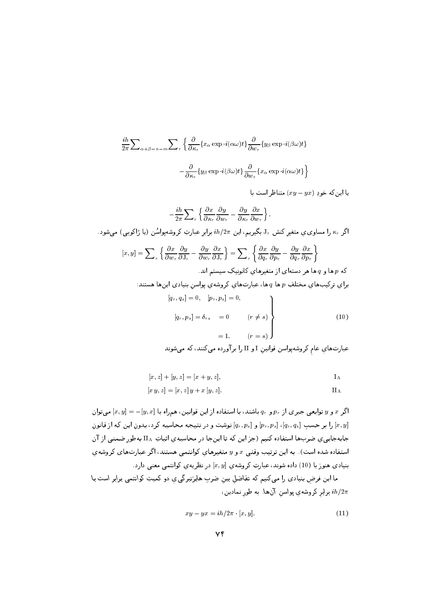$$
\frac{ih}{2\pi} \sum_{\alpha+\beta=n-m} \sum_{r} \left\{ \frac{\partial}{\partial \kappa_r} \{x_{\alpha} \exp \cdot i(\alpha \omega)t\} \frac{\partial}{\partial w_r} \{y_{\beta} \exp \cdot i(\beta \omega)t\} \right\}
$$

$$
- \frac{\partial}{\partial \kappa_r} \{y_{\beta} \exp \cdot i(\beta \omega)t\} \frac{\partial}{\partial w_r} \{x_{\alpha} \exp \cdot i(\alpha \omega)t\} \right\}
$$

$$
\downarrow \quad (xy - yx) \text{ is a constant.}
$$

$$
-\frac{ih}{2\pi}\sum_{r}\left\{\frac{\partial x}{\partial \kappa_{r}}\frac{\partial y}{\partial w_{r}}-\frac{\partial y}{\partial \kappa_{r}}\frac{\partial x}{\partial w_{r}}\right\}.
$$

اگر  $\kappa_r$  را مساوی ی متغیر کنش J, بگیریم، این  $h/2\pi$  برابر عبارتِ کروشهپواسُن (یا ژاکوبی) میشود.

$$
[x, y] = \sum_{r} \left\{ \frac{\partial x}{\partial w_{r}} \frac{\partial y}{\partial J_{r}} - \frac{\partial y}{\partial w_{r}} \frac{\partial x}{\partial J_{r}} \right\} = \sum_{r} \left\{ \frac{\partial x}{\partial q_{r}} \frac{\partial y}{\partial p_{r}} - \frac{\partial y}{\partial q_{r}} \frac{\partial x}{\partial p_{r}} \right\}
$$
  
\n
$$
\sum_{r} \left\{ \frac{\partial x}{\partial w_{r}} \frac{\partial y}{\partial P_{r}} - \frac{\partial y}{\partial q_{r}} \frac{\partial x}{\partial p_{r}} \right\}
$$
  
\n
$$
[q_{r}, q_{s}] = 0, \quad [p_{r}, p_{s}] = 0,
$$
  
\n
$$
[q_{r}, q_{s}] = 0, \quad [p_{r}, p_{s}] = 0,
$$
  
\n
$$
[q_{r}, p_{s}] = \delta_{rs} = 0 \qquad (r \neq s)
$$
  
\n
$$
= 1. \qquad (r = s)
$$
  
\n(10)

$$
[x, z] + [y, z] = [x + y, z],
$$
 I<sub>A</sub>

$$
[x \, y, z] = [x, z] \, y + x \, [y, z].
$$

اگر  $x$  و  $y$  توابعی جبری از  $p_r$  و  $p_r$  باشند، با استفاده از این قوانین، همراه با  $[y, x] = [y, x]$  میتوان را بر حسب  $[q_r, q_s]$ ،  $[q_r, p_s]$  و  $[q_r, p_s]$  نوشت و در نتیبجه محاسبه کرد، بدون این که از قانون  $[x, y]$ جابهجاییی صربها استفاده کنیم (جز این که تا اینجا در محاسبهی اثباتِ IIA بهطور ضمنی از آن استفاده شده است). به این ترتیب وقتبی  $x$  و  $y$  متغیرهای کوانتمی هستند، اگر عبارتهای کروشهی بنیادی هنوز با (10) داده شوند، عبارتِ کروشهی  $[x, y]$  در نظریهی کوانتمی معنی دارد.

ما این فرض بنیادی را میکنیم که تفاضل بین ضربِ هایزنبرگی ی دو کمیتِ کوانتمی برابر است با برابر کروشهی پواسن آنها. به طور نمادین،  $i\hbar/2\pi$ 

$$
xy - yx = ih/2\pi \cdot [x, y]. \tag{11}
$$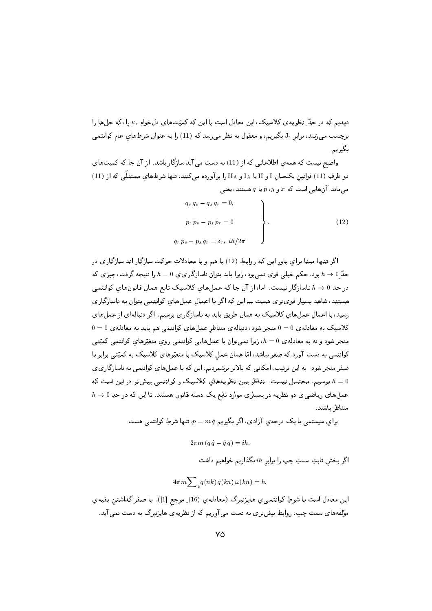دیدیم که در حدّ ِ نظریه ی کلاسیک، این معادل است با این که کمیّتهای دلخواهِ ۴٫٫ ا، که حلها را برچسب میزنند، برابر J, بگیریم، و معقول به نظر میرسد که (11) را به عنوان شرطهای عام کوانتمی بگيريم.

واضح نیست که همه ی اطلاعاتی که از (11) به دست می آید سازگار باشد. از آن جا که کمیتهای دو طرفِ (11) قوانین یکسان I و II یا I<sub>A</sub> و II<sub>A</sub> را برآورده میکنند، تنها شرطهای مستقلّی که از (11) میماند آنهایی است که  $x$  و  $y$ ،  $q$  یا  $q$  هستند، یعنی

 $q_r$ 

$$
q_r q_s - q_s q_r = 0,
$$
  
\n
$$
p_r p_s - p_s p_r = 0
$$
  
\n
$$
p_s - p_s q_r = \delta_{rs} i h / 2\pi
$$
\n(12)

اگر تنبها مبنا برای پاور این که روابط (12) با هم و با معادلاتِ حرکت سازگار اند سازگاری در حدّ 0 $h \to h \to h$ بود، حکم خیلی قوی نمیبود، زیرا باید بتوان ناسازگاری $b = 0$  را نتیجه گرفت، چیزی که در حد 0  $h \to h$  ناسازگار نیست. اما، از آن جا که عملهای کلاسیک تابع همان قانونهای کوانتمی هستند، شاهدِ بسیار قویتری هست ـــ این که اگر با اعمال عملهای کوانتمی بتوان به ناسازگاری رسید، با اعمال عملهای کلاسیک به همان طریق باید به ناسازگاری برسیم. اگر دنبالهای از عملهای  $0 = 0$  کلاسیک به معادله ی  $0 = 0$  منجر شود، دنباله ی متناظر عملهای کوانتمی هم باید به معادله ی منجر شود و نه به معادلهی  $h=0$ ، زیرا نمیتوان با عملهایی کوانتمی روی متغیّرهای کوانتمی کمیّتی کوانتمی به دست آورد که صفر نباشد، امّا همان عمل کلاسیک با متغیّرهای کلاسیک به کمیّتی برابر با صفر منجر شود. به این ترتیب، امکانی که بالاتر برشمردیم، این که با عملهای کوانتمی به ناسازگاری ی برسیم، محتمل نیست. تناظر بین نظریههای کلاسیک و کوانتمی بیشتر در این است که  $h=0$  $h\to 0$  عمل $\Delta$ ای ریاضی یِ دو نظریه در بسیاری موارد تابع یک دسته قانون هستند، تا این که در حدِ متناظ ىاشند.

براي سیستمی با یک درجهیِ آزادی، اگر بگیری<sub>۴)</sub> 
$$
p = m
$$
  $q$  ټها شرطِ کوانتمی هست

$$
2\pi m \left(q\,q-q\,q\right)=ih.
$$

اگر بخش ثابتِ سمتِ چپ را برابر ih بگذاریم خواهیم داشت

$$
4\pi m \sum\nolimits_k q(nk) \; q(kn) \, \omega(kn) = h.
$$

ايـن معادل است بـا شرطِ كـوانتـمـى ي هايـزنـبـرگ (معادلـه ي (16) ِ مرجع [1]). بـا صفـر گـذاشتـن بـقيـه ي مؤلفههاي سمتِ چپ، روابطِ بيشتري به دست مي آوريم كه از نظريهي هايزنبرگ به دست نمي آيد.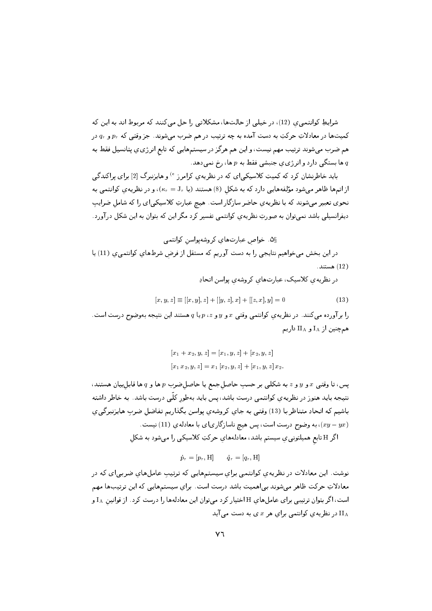شرایطِ کوانتمی ی (12)، در خیلی از حالتها، مشکلاتی را حل می کنند که مربوط اند به این که کمیتها در معادلاتِ حرکتِ به دست آمده به چه ترتیب در هم ضرب میشوند. جز وقتی که  $p_r$  و  $q_r$  در هم ضرب می شوند ترتیب مهم نیست، و این هم هرگز در سیستمهایی که تابع انرژی ی پتانسیل فقط به ها بستگی دارد و انرژی $\mathcal o$  جنبشی فقط به  $p$  ها، رخ نمیدهد.  $q$ 

باید خاطرنشان کرد که کمیتِ کلاسیکی ای که در نظریه ی کرامرز <sup>6</sup> و هایزنبرگ [2] برای پراکندگی از اتمها ظاهر میشود مؤلفههایی دارد که به شکل (8) هستند (با  $J_r = (\kappa_r = 0)$ ، و در نظریهی کوانتمی به نحوی تعبیر میشوند که با نظریهی حاضر سازگار است. هیچ عبارتِ کلاسیکیای را که شامل ضرایب دیفرانسیلی باشد نمی توان به صورتِ نظریه ی کوانتمی تفسیر کرد مگر این که بتوان به این شکل در آورد.

۵§. خواص عبارتهای کروشهپواسن کوانتمی

در این بخش میخواهیم نتایجی را به دست آوریم که مستقل از فرض شرطهای کوانتمی ی (11) یا ( 12 ) هستند .

در نظریه ی کلاسیک، عبارتهای کروشهی پواسن اتحادِ

$$
[x, y, z] \equiv [[x, y], z] + [[y, z], x] + [[z, x], y] = 0 \tag{13}
$$

را بر آورده می کنند. در نظریهی کوانتمی وقتی  $x$  و  $y$  و  $x$  ،  $p$  یا  $p$  هستند این نتیجه بهوضوح درست است. همچنین از IA و IIA داریم

$$
[x_1 + x_2, y, z] = [x_1, y, z] + [x_2, y, z]
$$

$$
[x_1 x_2, y, z] = x_1 [x_2, y, z] + [x_1, y, z] x_2
$$

یس، تا وقتی  $x$  و  $y$  و  $z$  به شکلی بر حسب حاصل جمع یا حاصل $\phi$ ضرب  $p$  ها و  $q$  ها قابل $y$ یبان هستند، نتیجه باید هنوز در نظریه ی کوانتمی درست باشد، پس باید بهطور کلّی درست باشد. به خاطر داشته باشيم كه اتحادِ متناظر با (13) وقتى به جاي كروشهي پواسن بگذاريم تفاضل ضربِ هايزنبرگىي ، به وضوح درست است، پس هیچ ناسازگاریای با معادلهی (11) نیست. (11) ، از به وضوح درست است،

اگر H تابع همیلتونی ِیِ سیستم باشد، معادلههایِ حرکتِ کلاسیکی را میشود به شکل

 $\dot{p}_r = [p_r, H]$   $\dot{q}_r = [q_r, H]$ 

نوشت. این معادلات در نظریهی کوانتمی برای سیستمهایی که ترتیب عاملهای ضربیای که در معادلاتِ حرکت ظاهر میشوند بی|همیت باشد درست است. برای سیستمهایی که این ترتیبها مهم است، اگر بتوان ترتیبی برای عامل های H اختیار کرد میتوان این معادلهها را درست کرد. از قوانین IA و در نظریهی کوانتمی برای هر  $x$ ی به دست می آید IIA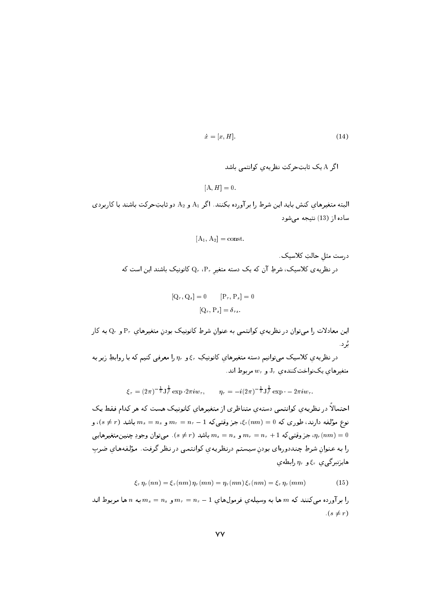$$
\dot{x} = [x, H]. \tag{14}
$$

 $[A, H] = 0.$ 

البته متغیرهای کنش باید این شرط را برآورده بکنند. اگر A1 و A2 دو ثابتِحرکت باشند با کاربردی ساده از (13) نتيجه مي شود

$$
[A_1, A_2] = \text{const.}
$$
درست مثلِ حالاتِ کلاسیک.  
در نظریەی کلاسیک، شرطِ آن که یک دسته متغیرِ ۹، $Q_r$ ، ۲، یک دسته متفیرِ

$$
[\mathbf{Q}_r, \mathbf{Q}_s] = 0 \qquad [\mathbf{P}_r, \mathbf{P}_s] = 0
$$

$$
[\mathbf{Q}_r, \mathbf{P}_s] = \delta_{rs}.
$$

این معادلات را میتوان در نظریه ی کوانتمی به عنوان شرطِ کانونیک بودن متغیرهای  $\mathrm{P}_r$  و  $\mathrm{Q}_r$  به کار یُرد .

در نظریه ی کلاسیک میتوانیم دسته متغیرهای کانونیکِ ۶٫۰ و  $\eta_r$  را معرفی کنیم که با روابطِ زیر به متغیرهای یکنواختکنندهی  $\mathrm{J}_r$  و  $w_r$  مربوط اند.

$$
\xi_r = (2\pi)^{-\frac{1}{2}} J_r^{\frac{1}{2}} \exp \cdot 2\pi i w_r, \qquad \eta_r = -i(2\pi)^{-\frac{1}{2}} J_r^{\frac{1}{2}} \exp \cdot -2\pi i w_r.
$$

احتمالاً در نظریهی کوانتمی دستهی متناظری از متغیرهای کانونیک هست که هر کدام فقط یک نوع مؤلفه دارند، طوری که  $(0=0,\xi_r(nm)=n_r-1$ ، جز وقتبیکه  $n_r=n_r=n_r=n_r$  و  $m_s=n_s$  باشد ( $s\neq s$ )، و جز وقتي كه  $n_r = n_r = m_r = m_s = m_r = n_r + 1$  و  $m_s = m_s = m_s$  باشد ( $s \neq s$ ). مي توان وجودِ جنين متغيرهايي، را به عنوان شرطِ چنددورهای بودن سیستم درنظریهی کوانتمی در نظر گرفت. مؤلفههای ضرب هایزنبرگی ی  $\xi_r$ و  $\eta_r$  رابطه ی

$$
\xi_r \eta_r(nn) = \xi_r(nm) \eta_r(mn) = \eta_r(mn) \xi_r(nm) = \xi_r \eta_r(mm) \qquad (15)
$$

را برآورده میکنند که  $m$  ها به وسیلهی فرمولهای  $n_r = n_r - m_s = m_s = m_s$  به  $n$  ها مربوط اند  $(s \neq r)$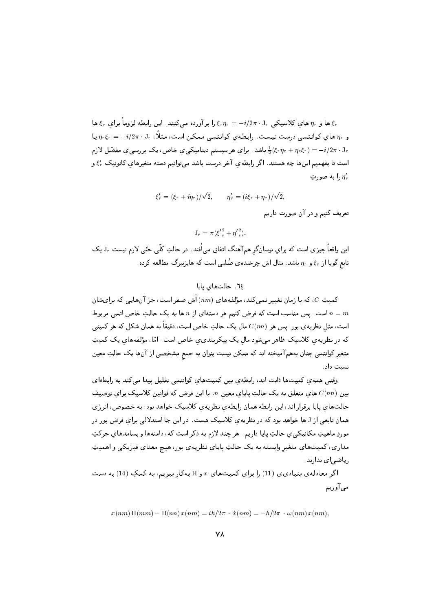ها و  $\eta_r$  های کلاسیکی  $J_r=-i/2\pi\cdot J_r=1$ را بر آورده می $\zeta$ نند. این رابطه لزوماً برای  $\xi_r$  ها $\xi_r$ و  $\eta_r$  های کوانتمی درست نیست. رابطهی کوانتمی ممکن است، مثلاً،  $\eta_r$  .  $\eta_r = -\eta/r$  یا باشد. برای هر سیستم دینامیکیی خاص، یک بررسی ی مفصّل لازم  $\frac{1}{2}(\xi_r\eta_r + \eta_r\xi_r) = -i/2\pi \cdot J_r$ است تا بفهمیم اینها چه هستند. اگر رابطهی آخر درست باشد میتوانیم دسته متغیرهای کانونیکِ ۶٫٪ و ا به صورت,  $\eta'_r$ 

> $\mathcal{E}'_r = (\mathcal{E}_r + i\eta_r)/\sqrt{2}.$  $\eta'_r = (i\xi_r + \eta_r)/\sqrt{2},$

> > تعریف کنیم و در آن صورت داریم

 $J_r = \pi (\xi^2 + \eta^2)$ .

این واقعاً چیزی است که برای نوسان گر هم آهنگ اتفاق می)فَتد. در حالتِ کلّی حتّی لازم نیست  $\rm J_r$  یک تابع گویا از ۶<sub>۳ و  $\eta_r$  باشد، مثال اش چرخندهی صُلبی است که هایزنبرگ مطالعه کرده.</sub>

7<sub>§</sub>7. حالتهای پایا

کمیتِ  $C$ ، که با زمان تغییر نمی کند، مؤلفههای  $\, (nm) \,$ ش صفر است، جز آنهایی که برایشان است. یس مناسب است که فرض کنیم هر دستهای از n ها به یک حالتِ خاص اتمی مربوط  $n=m$ است، مثل نظریهی بور؛ پس هر  $C(nn)$  مال یک حالتِ خاص است، دقیقاً به همان شکل که هر کمیتی که در نظریهی کلاسیک ظاهر میشود مال یک پیکربندی ی خاص است. امّا، مؤلفههای یک کمیتِ متغیر کوانتمی چنان بههمآمیخته اند که ممکن نیست بتوان به جمع مشخصی از آنها یک حالتِ معین نسبت داد .

وقتی همهی کمیتها ثابت اند، رابطهی بین کمیتهای کوانتمی تقلیل پیدا می کند به رابطهای بین  $C(nn)$  های متعلق به یک حالتِ پایای معین  $n$ . با این فرض که قوانین کلاسیک برای توصیف حالتهای پایا برقرار اند، این رابطه همان رابطهی نظریهی کلاسیک خواهد بود؛ به خصوص، انرژی همان تابعی از J ها خواهد بود که در نظریه ی کلاسیک هست. در این جا استدلالی برای فرض بور در موردِ ماهيتِ مكانيكيي ي حالتِ پايا داريم. هر چند لازم به ذكر است كه، دامنهها و بسامدهاي حركتِ مداری، کمیتهای متغیر وابسته به یک حالتِ پایای نظریهی بور، هیچ معنای فیزیکی و اهمیتِ ریاضی|ی ندارند.

اگر معادلهی بنیادی ی(11) را برای کمیتهای  $x$  و H بهکار ببریم، به کمکِ (14) به دست مي آوريہ

$$
x(nm) H(mm) - H(nn) x(nm) = ih/2\pi \cdot \dot{x}(nm) = -h/2\pi \cdot \omega(nm) x(nm).
$$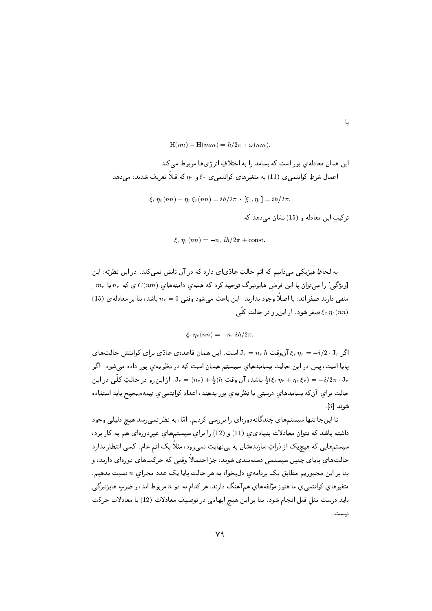H(nn) – H(mm) = 
$$
h/2\pi \cdot \omega(nm)
$$
.  
اين همان معادل*هي* بور است که بسامد را به اختلافِ انرژىها مربوط مىکند.  
اعمالِ شرطِ کوانتمىيِ (11) به متغيرهاي کوانتمىي ي ۶<sub>5 و 7</sub>۳ که قبلاً تعريف شدند، مىدهد

$$
\xi_r \eta_r(nn) - \eta_r \xi_r(nn) = ih/2\pi \cdot [\xi_r, \eta_r] = ih/2\pi
$$

ترکیب این معادله و (15) نشان می دهد که

L

$$
\xi_r \eta_r(nn) = -n_r ih/2\pi + \text{const.}
$$

به لحاظِ فيزيکي مي دانيم که اتم حالتِ عادّياي دارد که در آن تابش نمي کند. در اين نظريّه، اين  $\left\{ \begin{array}{l} m_r \, \mu_r \, \mu_r \end{array} \right\}$ ویژگی] را میتوان با این فرض هایزنبرگ توجیه کرد که همهی دامنههای  $C(nm)$  ی که  $n_r$  یا منفی دارند صفر اند، یا اصلاً وجود ندارند. این باعث میشود وقتی  $n_r=0$  باشد، بنا بر معادلهی (15) صفر شود. از این و در حالتِ کلّی  $\xi_r$   $\eta_r(nn)$ 

$$
\xi_r \eta_r(nn) = -n_r ih/2\pi.
$$

اگر  $i_{r} = -i/2 \cdot J_{r}$  آن وقت  $I_{r} = n_{r} h$  است. این همان قاعدهی عادّی برای کوانتش حالتهای پایا است، پس در این حالت بسامدهای سیستم همان است که در نظریهی بور داده می شود. اگر باشد، آن وقت  $J_r = (n_r) + \frac{1}{2}$ . از این و در حالتِ کلّمی در این  $\frac{1}{2}(\xi_r \eta_r + \eta_r \xi_r) = -i/2\pi \cdot J_r$ حالت برای آنکه بسامدهای درستی با نظریهی بور بدهند، اعدادِ کوانتمی ی نیمهصحیح باید استفاده  $|3|$  شوند

تا اینجا تنها سیستمهای چندگانهدورهای را بررسی کردیم. امّا، به نظر نمی رسد هیچ دلیلی وجود داشته باشد که نتوان معادلاتِ بنیادی،ی (11) و (12) را برای سیستمهای غیردورهای هم به کار برد، سیستمهایی که هیچیک از ذراتِ سازندهشان به بینهایت نمیرود، مثلاً یک اتم عام. کسی انتظار ندارد حالتهای پایای چنین سیستمی دستهبندی شوند، جز احتمالاً وقتی که حرکتهای دورهای دارند، و بنا بر این مجبوریم مطابق یک برنامهی دلبخواه به هر حالتِ پایا یک عددِ مجزای n نسبت بدهیم. متغیرهای کوانتمی ی ما هنو ز مؤلفههای هم آهنگ دارند، هر کدام به دو n مربوط اند، و ضرب هایزنبرگی باید درست مثل قبل انجام شود. بنا بر این هیچ ابهامی در توصیفِ معادلاتِ (12) یا معادلاتِ حرکت نيست .